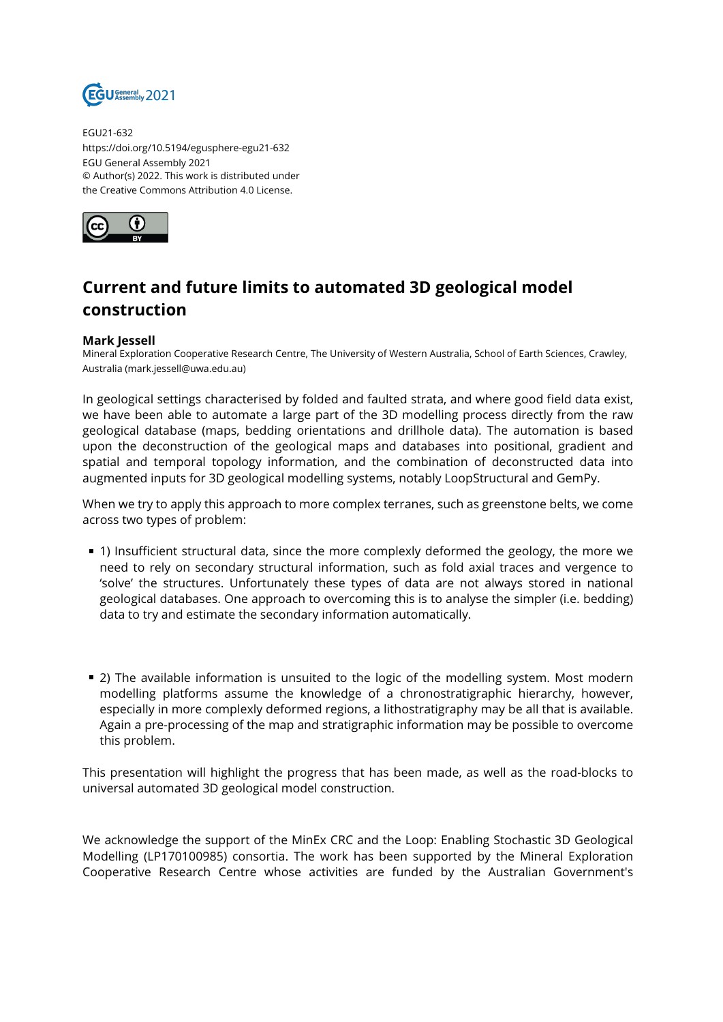

EGU21-632 https://doi.org/10.5194/egusphere-egu21-632 EGU General Assembly 2021 © Author(s) 2022. This work is distributed under the Creative Commons Attribution 4.0 License.



## **Current and future limits to automated 3D geological model construction**

## **Mark Jessell**

Mineral Exploration Cooperative Research Centre, The University of Western Australia, School of Earth Sciences, Crawley, Australia (mark.jessell@uwa.edu.au)

In geological settings characterised by folded and faulted strata, and where good field data exist, we have been able to automate a large part of the 3D modelling process directly from the raw geological database (maps, bedding orientations and drillhole data). The automation is based upon the deconstruction of the geological maps and databases into positional, gradient and spatial and temporal topology information, and the combination of deconstructed data into augmented inputs for 3D geological modelling systems, notably LoopStructural and GemPy.

When we try to apply this approach to more complex terranes, such as greenstone belts, we come across two types of problem:

- 1) Insufficient structural data, since the more complexly deformed the geology, the more we need to rely on secondary structural information, such as fold axial traces and vergence to 'solve' the structures. Unfortunately these types of data are not always stored in national geological databases. One approach to overcoming this is to analyse the simpler (i.e. bedding) data to try and estimate the secondary information automatically.
- 2) The available information is unsuited to the logic of the modelling system. Most modern modelling platforms assume the knowledge of a chronostratigraphic hierarchy, however, especially in more complexly deformed regions, a lithostratigraphy may be all that is available. Again a pre-processing of the map and stratigraphic information may be possible to overcome this problem.

This presentation will highlight the progress that has been made, as well as the road-blocks to universal automated 3D geological model construction.

We acknowledge the support of the MinEx CRC and the Loop: Enabling Stochastic 3D Geological Modelling (LP170100985) consortia. The work has been supported by the Mineral Exploration Cooperative Research Centre whose activities are funded by the Australian Government's